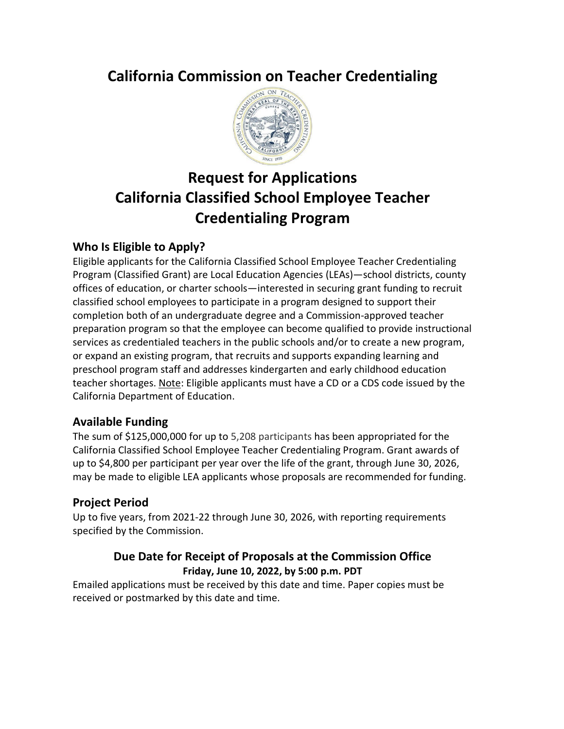# **California Commission on Teacher Credentialing**



# **Request for Applications California Classified School Employee Teacher Credentialing Program**

## <span id="page-0-0"></span>**Who Is Eligible to Apply?**

Eligible applicants for the California Classified School Employee Teacher Credentialing Program (Classified Grant) are Local Education Agencies (LEAs)—school districts, county offices of education, or charter schools—interested in securing grant funding to recruit classified school employees to participate in a program designed to support their completion both of an undergraduate degree and a Commission-approved teacher preparation program so that the employee can become qualified to provide instructional services as credentialed teachers in the public schools and/or to create a new program, or expand an existing program, that recruits and supports expanding learning and preschool program staff and addresses kindergarten and early childhood education teacher shortages. Note: Eligible applicants must have a CD or a CDS code issued by the California Department of Education.

### <span id="page-0-1"></span>**Available Funding**

The sum of \$125,000,000 for up to 5,208 participants has been appropriated for the California Classified School Employee Teacher Credentialing Program. Grant awards of up to \$4,800 per participant per year over the life of the grant, through June 30, 2026, may be made to eligible LEA applicants whose proposals are recommended for funding.

## **Project Period**

Up to five years, from 2021-22 through June 30, 2026, with reporting requirements specified by the Commission.

### **Due Date for Receipt of Proposals at the Commission Office Friday, June 10, 2022, by 5:00 p.m. PDT**

Emailed applications must be received by this date and time. Paper copies must be received or postmarked by this date and time.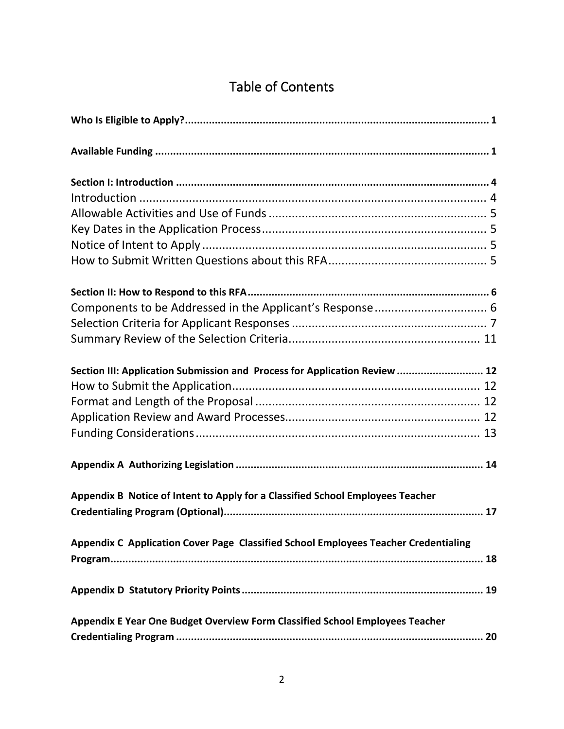# Table of Contents

| Section III: Application Submission and Process for Application Review  12          |  |
|-------------------------------------------------------------------------------------|--|
|                                                                                     |  |
|                                                                                     |  |
|                                                                                     |  |
|                                                                                     |  |
|                                                                                     |  |
| Appendix B Notice of Intent to Apply for a Classified School Employees Teacher      |  |
|                                                                                     |  |
| Appendix C Application Cover Page Classified School Employees Teacher Credentialing |  |
|                                                                                     |  |
|                                                                                     |  |
| Appendix E Year One Budget Overview Form Classified School Employees Teacher        |  |
|                                                                                     |  |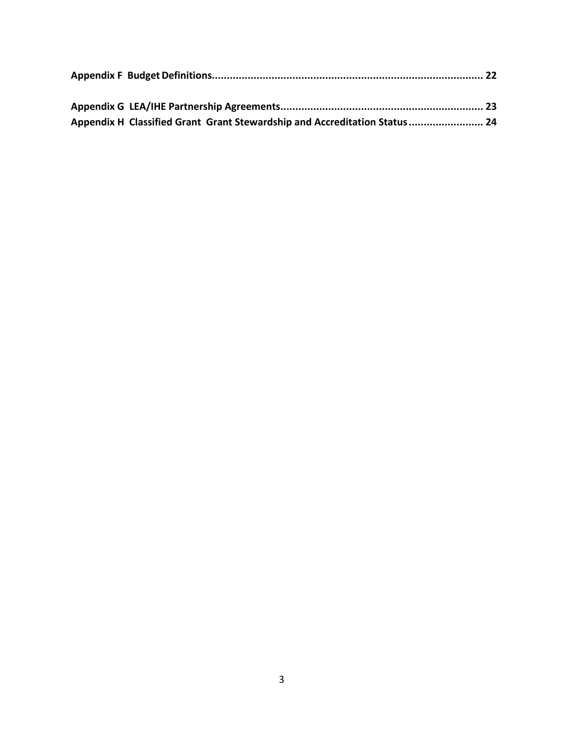| Appendix H Classified Grant Grant Stewardship and Accreditation Status  24 |  |  |
|----------------------------------------------------------------------------|--|--|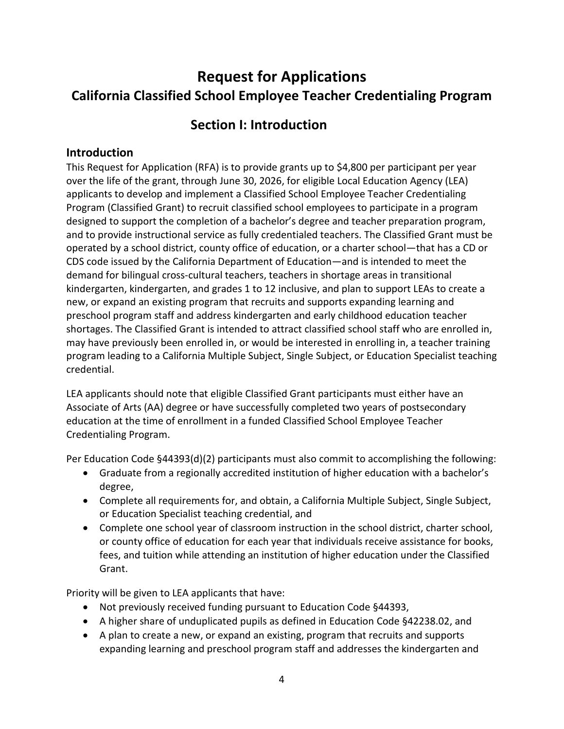# **Request for Applications California Classified School Employee Teacher Credentialing Program**

## **Section I: Introduction**

#### <span id="page-3-1"></span><span id="page-3-0"></span>**Introduction**

This Request for Application (RFA) is to provide grants up to \$4,800 per participant per year over the life of the grant, through June 30, 2026, for eligible Local Education Agency (LEA) applicants to develop and implement a Classified School Employee Teacher Credentialing Program (Classified Grant) to recruit classified school employees to participate in a program designed to support the completion of a bachelor's degree and teacher preparation program, and to provide instructional service as fully credentialed teachers. The Classified Grant must be operated by a school district, county office of education, or a charter school—that has a CD or CDS code issued by the California Department of Education—and is intended to meet the demand for bilingual cross-cultural teachers, teachers in shortage areas in transitional kindergarten, kindergarten, and grades 1 to 12 inclusive, and plan to support LEAs to create a new, or expand an existing program that recruits and supports expanding learning and preschool program staff and address kindergarten and early childhood education teacher shortages. The Classified Grant is intended to attract classified school staff who are enrolled in, may have previously been enrolled in, or would be interested in enrolling in, a teacher training program leading to a California Multiple Subject, Single Subject, or Education Specialist teaching credential.

LEA applicants should note that eligible Classified Grant participants must either have an Associate of Arts (AA) degree or have successfully completed two years of postsecondary education at the time of enrollment in a funded Classified School Employee Teacher Credentialing Program.

Per Education Code §44393(d)(2) participants must also commit to accomplishing the following:

- Graduate from a regionally accredited institution of higher education with a bachelor's degree,
- Complete all requirements for, and obtain, a California Multiple Subject, Single Subject, or Education Specialist teaching credential, and
- Complete one school year of classroom instruction in the school district, charter school, or county office of education for each year that individuals receive assistance for books, fees, and tuition while attending an institution of higher education under the Classified Grant.

Priority will be given to LEA applicants that have:

- Not previously received funding pursuant to Education Code §44393,
- A higher share of unduplicated pupils as defined in Education Code §42238.02, and
- A plan to create a new, or expand an existing, program that recruits and supports expanding learning and preschool program staff and addresses the kindergarten and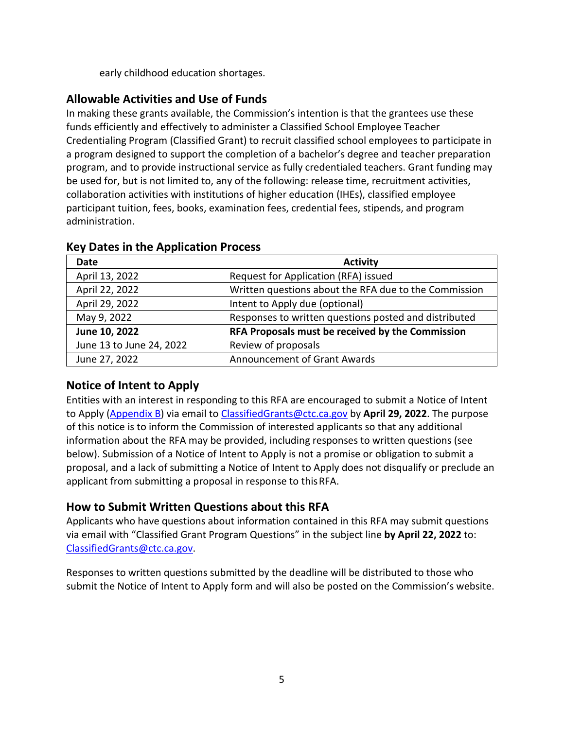early childhood education shortages.

## <span id="page-4-0"></span>**Allowable Activities and Use of Funds**

In making these grants available, the Commission's intention is that the grantees use these funds efficiently and effectively to administer a Classified School Employee Teacher Credentialing Program (Classified Grant) to recruit classified school employees to participate in a program designed to support the completion of a bachelor's degree and teacher preparation program, and to provide instructional service as fully credentialed teachers. Grant funding may be used for, but is not limited to, any of the following: release time, recruitment activities, collaboration activities with institutions of higher education (IHEs), classified employee participant tuition, fees, books, examination fees, credential fees, stipends, and program administration.

| <b>Date</b>              | <b>Activity</b>                                       |  |  |
|--------------------------|-------------------------------------------------------|--|--|
| April 13, 2022           | Request for Application (RFA) issued                  |  |  |
| April 22, 2022           | Written questions about the RFA due to the Commission |  |  |
| April 29, 2022           | Intent to Apply due (optional)                        |  |  |
| May 9, 2022              | Responses to written questions posted and distributed |  |  |
| June 10, 2022            | RFA Proposals must be received by the Commission      |  |  |
| June 13 to June 24, 2022 | Review of proposals                                   |  |  |
| June 27, 2022            | <b>Announcement of Grant Awards</b>                   |  |  |

#### <span id="page-4-1"></span>**Key Dates in the Application Process**

## <span id="page-4-2"></span>**Notice of Intent to Apply**

Entities with an interest in responding to this RFA are encouraged to submit a Notice of Intent to Apply [\(Appendix B\)](#page-16-0) via email to [ClassifiedGrants@ctc.ca.gov](mailto:ClassifiedGrants@ctc.ca.gov) by **April 29, 2022**. The purpose of this notice is to inform the Commission of interested applicants so that any additional information about the RFA may be provided, including responses to written questions (see below). Submission of a Notice of Intent to Apply is not a promise or obligation to submit a proposal, and a lack of submitting a Notice of Intent to Apply does not disqualify or preclude an applicant from submitting a proposal in response to thisRFA.

## <span id="page-4-3"></span>**How to Submit Written Questions about this RFA**

Applicants who have questions about information contained in this RFA may submit questions via email with "Classified Grant Program Questions" in the subject line **by April 22, 2022** to: [ClassifiedGrants@ctc.ca.gov.](mailto:ClassifiedGrants@ctc.ca.gov)

Responses to written questions submitted by the deadline will be distributed to those who submit the Notice of Intent to Apply form and will also be posted on the Commission's website.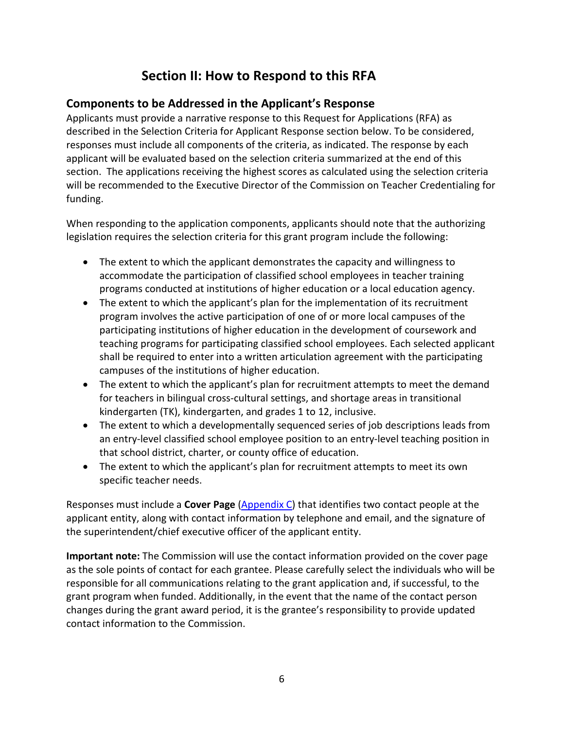## **Section II: How to Respond to this RFA**

#### <span id="page-5-1"></span><span id="page-5-0"></span>**Components to be Addressed in the Applicant's Response**

Applicants must provide a narrative response to this Request for Applications (RFA) as described in the Selection Criteria for Applicant Response section below. To be considered, responses must include all components of the criteria, as indicated. The response by each applicant will be evaluated based on the selection criteria summarized at the end of this section. The applications receiving the highest scores as calculated using the selection criteria will be recommended to the Executive Director of the Commission on Teacher Credentialing for funding.

When responding to the application components, applicants should note that the authorizing legislation requires the selection criteria for this grant program include the following:

- The extent to which the applicant demonstrates the capacity and willingness to accommodate the participation of classified school employees in teacher training programs conducted at institutions of higher education or a local education agency.
- The extent to which the applicant's plan for the implementation of its recruitment program involves the active participation of one of or more local campuses of the participating institutions of higher education in the development of coursework and teaching programs for participating classified school employees. Each selected applicant shall be required to enter into a written articulation agreement with the participating campuses of the institutions of higher education.
- The extent to which the applicant's plan for recruitment attempts to meet the demand for teachers in bilingual cross-cultural settings, and shortage areas in transitional kindergarten (TK), kindergarten, and grades 1 to 12, inclusive.
- The extent to which a developmentally sequenced series of job descriptions leads from an entry-level classified school employee position to an entry-level teaching position in that school district, charter, or county office of education.
- The extent to which the applicant's plan for recruitment attempts to meet its own specific teacher needs.

Responses must include a **Cover Page** [\(Appendix C\)](#page-17-0) that identifies two contact people at the applicant entity, along with contact information by telephone and email, and the signature of the superintendent/chief executive officer of the applicant entity.

**Important note:** The Commission will use the contact information provided on the cover page as the sole points of contact for each grantee. Please carefully select the individuals who will be responsible for all communications relating to the grant application and, if successful, to the grant program when funded. Additionally, in the event that the name of the contact person changes during the grant award period, it is the grantee's responsibility to provide updated contact information to the Commission.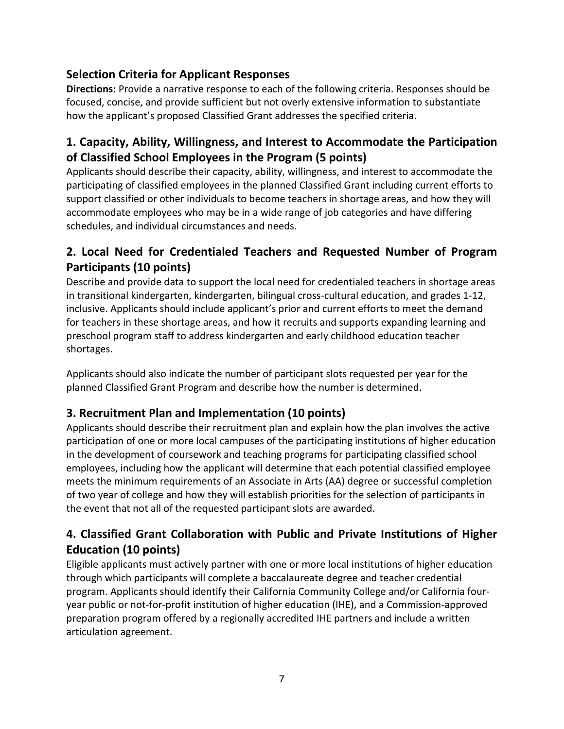## <span id="page-6-0"></span>**Selection Criteria for Applicant Responses**

**Directions:** Provide a narrative response to each of the following criteria. Responses should be focused, concise, and provide sufficient but not overly extensive information to substantiate how the applicant's proposed Classified Grant addresses the specified criteria.

## **1. Capacity, Ability, Willingness, and Interest to Accommodate the Participation of Classified School Employees in the Program (5 points)**

Applicants should describe their capacity, ability, willingness, and interest to accommodate the participating of classified employees in the planned Classified Grant including current efforts to support classified or other individuals to become teachers in shortage areas, and how they will accommodate employees who may be in a wide range of job categories and have differing schedules, and individual circumstances and needs.

## **2. Local Need for Credentialed Teachers and Requested Number of Program Participants (10 points)**

Describe and provide data to support the local need for credentialed teachers in shortage areas in transitional kindergarten, kindergarten, bilingual cross-cultural education, and grades 1-12, inclusive. Applicants should include applicant's prior and current efforts to meet the demand for teachers in these shortage areas, and how it recruits and supports expanding learning and preschool program staff to address kindergarten and early childhood education teacher shortages.

Applicants should also indicate the number of participant slots requested per year for the planned Classified Grant Program and describe how the number is determined.

## **3. Recruitment Plan and Implementation (10 points)**

Applicants should describe their recruitment plan and explain how the plan involves the active participation of one or more local campuses of the participating institutions of higher education in the development of coursework and teaching programs for participating classified school employees, including how the applicant will determine that each potential classified employee meets the minimum requirements of an Associate in Arts (AA) degree or successful completion of two year of college and how they will establish priorities for the selection of participants in the event that not all of the requested participant slots are awarded.

## **4. Classified Grant Collaboration with Public and Private Institutions of Higher Education (10 points)**

Eligible applicants must actively partner with one or more local institutions of higher education through which participants will complete a baccalaureate degree and teacher credential program. Applicants should identify their California Community College and/or California fouryear public or not-for-profit institution of higher education (IHE), and a Commission-approved preparation program offered by a regionally accredited IHE partners and include a written articulation agreement.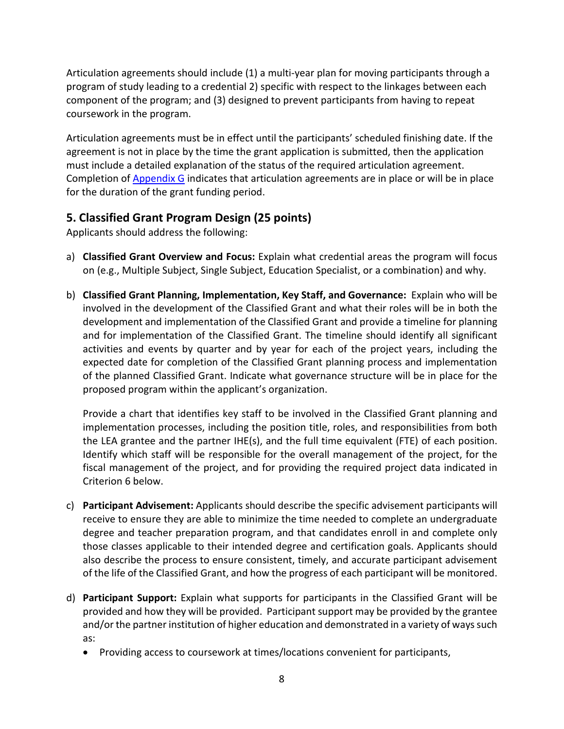Articulation agreements should include (1) a multi-year plan for moving participants through a program of study leading to a credential 2) specific with respect to the linkages between each component of the program; and (3) designed to prevent participants from having to repeat coursework in the program.

Articulation agreements must be in effect until the participants' scheduled finishing date. If the agreement is not in place by the time the grant application is submitted, then the application must include a detailed explanation of the status of the required articulation agreement. Completion of [Appendix G](#page-22-0) indicates that articulation agreements are in place or will be in place for the duration of the grant funding period.

#### **5. Classified Grant Program Design (25 points)**

Applicants should address the following:

- a) **Classified Grant Overview and Focus:** Explain what credential areas the program will focus on (e.g., Multiple Subject, Single Subject, Education Specialist, or a combination) and why.
- b) **Classified Grant Planning, Implementation, Key Staff, and Governance:** Explain who will be involved in the development of the Classified Grant and what their roles will be in both the development and implementation of the Classified Grant and provide a timeline for planning and for implementation of the Classified Grant. The timeline should identify all significant activities and events by quarter and by year for each of the project years, including the expected date for completion of the Classified Grant planning process and implementation of the planned Classified Grant. Indicate what governance structure will be in place for the proposed program within the applicant's organization.

Provide a chart that identifies key staff to be involved in the Classified Grant planning and implementation processes, including the position title, roles, and responsibilities from both the LEA grantee and the partner IHE(s), and the full time equivalent (FTE) of each position. Identify which staff will be responsible for the overall management of the project, for the fiscal management of the project, and for providing the required project data indicated in Criterion 6 below.

- c) **Participant Advisement:** Applicants should describe the specific advisement participants will receive to ensure they are able to minimize the time needed to complete an undergraduate degree and teacher preparation program, and that candidates enroll in and complete only those classes applicable to their intended degree and certification goals. Applicants should also describe the process to ensure consistent, timely, and accurate participant advisement of the life of the Classified Grant, and how the progress of each participant will be monitored.
- d) **Participant Support:** Explain what supports for participants in the Classified Grant will be provided and how they will be provided. Participant support may be provided by the grantee and/or the partner institution of higher education and demonstrated in a variety of ways such as:
	- Providing access to coursework at times/locations convenient for participants,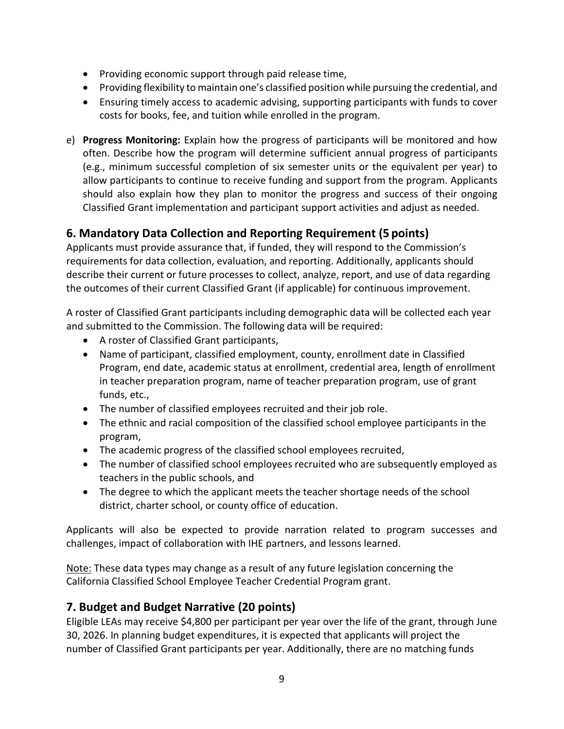- Providing economic support through paid release time,
- Providing flexibility to maintain one's classified position while pursuing the credential, and
- Ensuring timely access to academic advising, supporting participants with funds to cover costs for books, fee, and tuition while enrolled in the program.
- e) **Progress Monitoring:** Explain how the progress of participants will be monitored and how often. Describe how the program will determine sufficient annual progress of participants (e.g., minimum successful completion of six semester units or the equivalent per year) to allow participants to continue to receive funding and support from the program. Applicants should also explain how they plan to monitor the progress and success of their ongoing Classified Grant implementation and participant support activities and adjust as needed.

### **6. Mandatory Data Collection and Reporting Requirement (5 points)**

Applicants must provide assurance that, if funded, they will respond to the Commission's requirements for data collection, evaluation, and reporting. Additionally, applicants should describe their current or future processes to collect, analyze, report, and use of data regarding the outcomes of their current Classified Grant (if applicable) for continuous improvement.

A roster of Classified Grant participants including demographic data will be collected each year and submitted to the Commission. The following data will be required:

- A roster of Classified Grant participants,
- Name of participant, classified employment, county, enrollment date in Classified Program, end date, academic status at enrollment, credential area, length of enrollment in teacher preparation program, name of teacher preparation program, use of grant funds, etc.,
- The number of classified employees recruited and their job role.
- The ethnic and racial composition of the classified school employee participants in the program,
- The academic progress of the classified school employees recruited,
- The number of classified school employees recruited who are subsequently employed as teachers in the public schools, and
- The degree to which the applicant meets the teacher shortage needs of the school district, charter school, or county office of education.

Applicants will also be expected to provide narration related to program successes and challenges, impact of collaboration with IHE partners, and lessons learned.

Note: These data types may change as a result of any future legislation concerning the California Classified School Employee Teacher Credential Program grant.

#### **7. Budget and Budget Narrative (20 points)**

Eligible LEAs may receive \$4,800 per participant per year over the life of the grant, through June 30, 2026. In planning budget expenditures, it is expected that applicants will project the number of Classified Grant participants per year. Additionally, there are no matching funds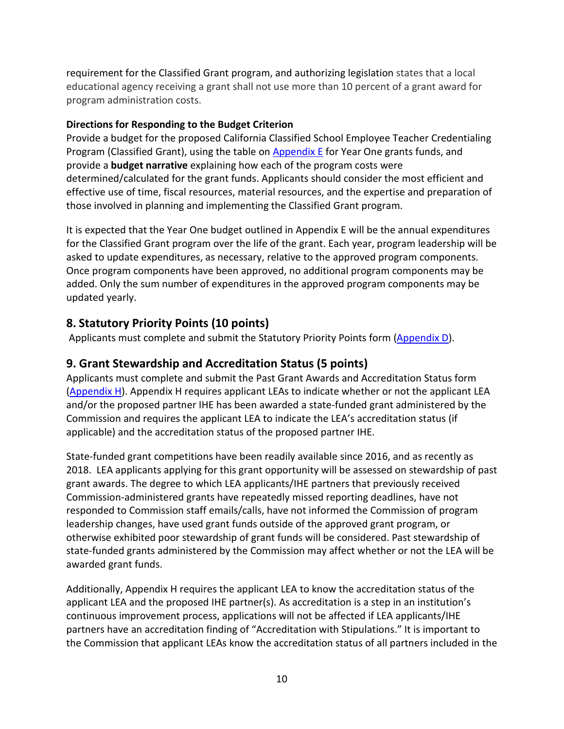requirement for the Classified Grant program, and authorizing legislation states that a local educational agency receiving a grant shall not use more than 10 percent of a grant award for program administration costs.

#### **Directions for Responding to the Budget Criterion**

Provide a budget for the proposed California Classified School Employee Teacher Credentialing Program (Classified Grant), using the table on  $\Delta p$  and  $\overline{E}$  for Year One grants funds, and provide a **budget narrative** explaining how each of the program costs were determined/calculated for the grant funds. Applicants should consider the most efficient and effective use of time, fiscal resources, material resources, and the expertise and preparation of those involved in planning and implementing the Classified Grant program.

It is expected that the Year One budget outlined in Appendix E will be the annual expenditures for the Classified Grant program over the life of the grant. Each year, program leadership will be asked to update expenditures, as necessary, relative to the approved program components. Once program components have been approved, no additional program components may be added. Only the sum number of expenditures in the approved program components may be updated yearly.

### **8. Statutory Priority Points (10 points)**

Applicants must complete and submit the Statutory Priority Points form  $(Appendix D)$ .

#### **9. Grant Stewardship and Accreditation Status (5 points)**

Applicants must complete and submit the Past Grant Awards and Accreditation Status form [\(Appendix H\)](#page-23-0). Appendix H requires applicant LEAs to indicate whether or not the applicant LEA and/or the proposed partner IHE has been awarded a state-funded grant administered by the Commission and requires the applicant LEA to indicate the LEA's accreditation status (if applicable) and the accreditation status of the proposed partner IHE.

State-funded grant competitions have been readily available since 2016, and as recently as 2018. LEA applicants applying for this grant opportunity will be assessed on stewardship of past grant awards. The degree to which LEA applicants/IHE partners that previously received Commission-administered grants have repeatedly missed reporting deadlines, have not responded to Commission staff emails/calls, have not informed the Commission of program leadership changes, have used grant funds outside of the approved grant program, or otherwise exhibited poor stewardship of grant funds will be considered. Past stewardship of state-funded grants administered by the Commission may affect whether or not the LEA will be awarded grant funds.

Additionally, Appendix H requires the applicant LEA to know the accreditation status of the applicant LEA and the proposed IHE partner(s). As accreditation is a step in an institution's continuous improvement process, applications will not be affected if LEA applicants/IHE partners have an accreditation finding of "Accreditation with Stipulations." It is important to the Commission that applicant LEAs know the accreditation status of all partners included in the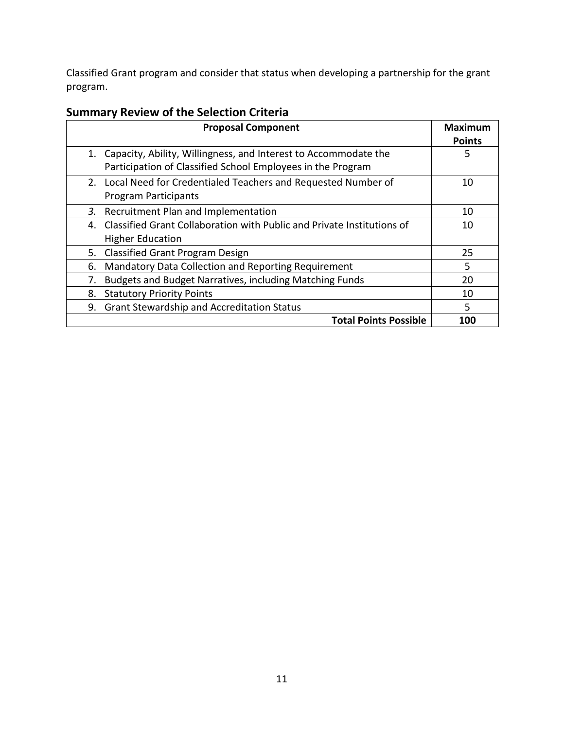Classified Grant program and consider that status when developing a partnership for the grant program.

| <b>Proposal Component</b>                                                    | Maximum<br><b>Points</b> |
|------------------------------------------------------------------------------|--------------------------|
| Capacity, Ability, Willingness, and Interest to Accommodate the<br>1.        | 5                        |
| Participation of Classified School Employees in the Program                  |                          |
| 2. Local Need for Credentialed Teachers and Requested Number of              | 10                       |
| <b>Program Participants</b>                                                  |                          |
| Recruitment Plan and Implementation<br>3.                                    | 10                       |
| Classified Grant Collaboration with Public and Private Institutions of<br>4. | 10                       |
| <b>Higher Education</b>                                                      |                          |
| <b>Classified Grant Program Design</b><br>5.                                 | 25                       |
| Mandatory Data Collection and Reporting Requirement<br>6.                    | 5                        |
| Budgets and Budget Narratives, including Matching Funds<br>7.                | 20                       |
| 8.<br><b>Statutory Priority Points</b>                                       | 10                       |
| <b>Grant Stewardship and Accreditation Status</b><br>9.                      | 5                        |
| <b>Total Points Possible</b>                                                 | 100                      |

## <span id="page-10-0"></span>**Summary Review of the Selection Criteria**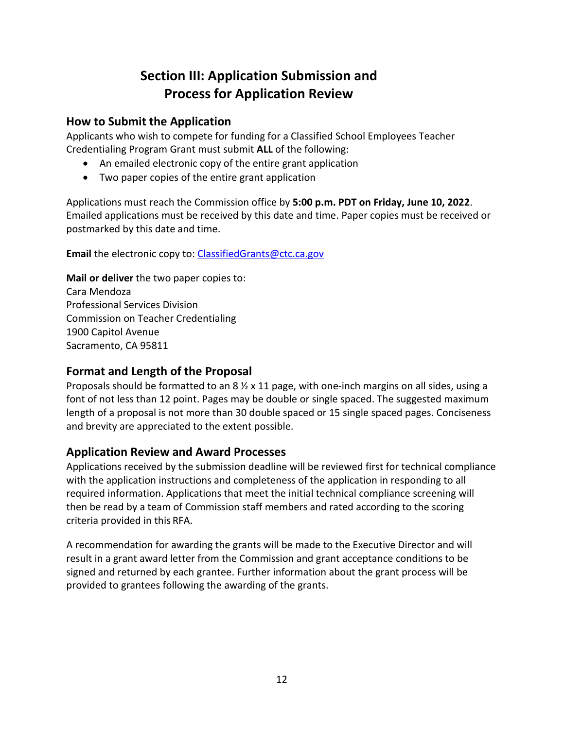# **Section III: Application Submission and Process for Application Review**

#### <span id="page-11-1"></span><span id="page-11-0"></span>**How to Submit the Application**

Applicants who wish to compete for funding for a Classified School Employees Teacher Credentialing Program Grant must submit **ALL** of the following:

- An emailed electronic copy of the entire grant application
- Two paper copies of the entire grant application

Applications must reach the Commission office by **5:00 p.m. PDT on Friday, June 10, 2022**. Emailed applications must be received by this date and time. Paper copies must be received or postmarked by this date and time.

**Email** the electronic copy to: [ClassifiedGrants@ctc.ca.gov](mailto:ClassifiedGrants@ctc.ca.gov) 

**Mail or deliver** the two paper copies to: Cara Mendoza Professional Services Division Commission on Teacher Credentialing 1900 Capitol Avenue Sacramento, CA 95811

### <span id="page-11-2"></span>**Format and Length of the Proposal**

Proposals should be formatted to an  $8 \frac{1}{2} \times 11$  page, with one-inch margins on all sides, using a font of not less than 12 point. Pages may be double or single spaced. The suggested maximum length of a proposal is not more than 30 double spaced or 15 single spaced pages. Conciseness and brevity are appreciated to the extent possible.

#### <span id="page-11-3"></span>**Application Review and Award Processes**

Applications received by the submission deadline will be reviewed first for technical compliance with the application instructions and completeness of the application in responding to all required information. Applications that meet the initial technical compliance screening will then be read by a team of Commission staff members and rated according to the scoring criteria provided in this RFA.

A recommendation for awarding the grants will be made to the Executive Director and will result in a grant award letter from the Commission and grant acceptance conditions to be signed and returned by each grantee. Further information about the grant process will be provided to grantees following the awarding of the grants.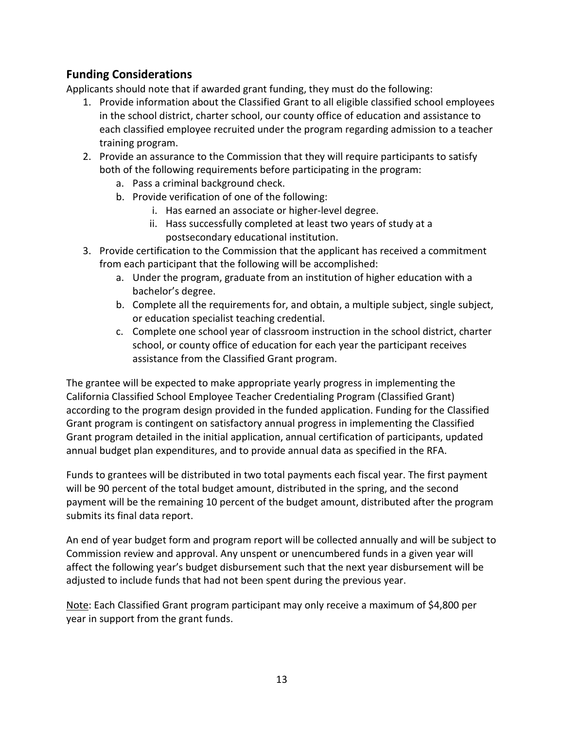### <span id="page-12-0"></span>**Funding Considerations**

Applicants should note that if awarded grant funding, they must do the following:

- 1. Provide information about the Classified Grant to all eligible classified school employees in the school district, charter school, our county office of education and assistance to each classified employee recruited under the program regarding admission to a teacher training program.
- 2. Provide an assurance to the Commission that they will require participants to satisfy both of the following requirements before participating in the program:
	- a. Pass a criminal background check.
	- b. Provide verification of one of the following:
		- i. Has earned an associate or higher-level degree.
		- ii. Hass successfully completed at least two years of study at a postsecondary educational institution.
- 3. Provide certification to the Commission that the applicant has received a commitment from each participant that the following will be accomplished:
	- a. Under the program, graduate from an institution of higher education with a bachelor's degree.
	- b. Complete all the requirements for, and obtain, a multiple subject, single subject, or education specialist teaching credential.
	- c. Complete one school year of classroom instruction in the school district, charter school, or county office of education for each year the participant receives assistance from the Classified Grant program.

The grantee will be expected to make appropriate yearly progress in implementing the California Classified School Employee Teacher Credentialing Program (Classified Grant) according to the program design provided in the funded application. Funding for the Classified Grant program is contingent on satisfactory annual progress in implementing the Classified Grant program detailed in the initial application, annual certification of participants, updated annual budget plan expenditures, and to provide annual data as specified in the RFA.

Funds to grantees will be distributed in two total payments each fiscal year. The first payment will be 90 percent of the total budget amount, distributed in the spring, and the second payment will be the remaining 10 percent of the budget amount, distributed after the program submits its final data report.

An end of year budget form and program report will be collected annually and will be subject to Commission review and approval. Any unspent or unencumbered funds in a given year will affect the following year's budget disbursement such that the next year disbursement will be adjusted to include funds that had not been spent during the previous year.

Note: Each Classified Grant program participant may only receive a maximum of \$4,800 per year in support from the grant funds.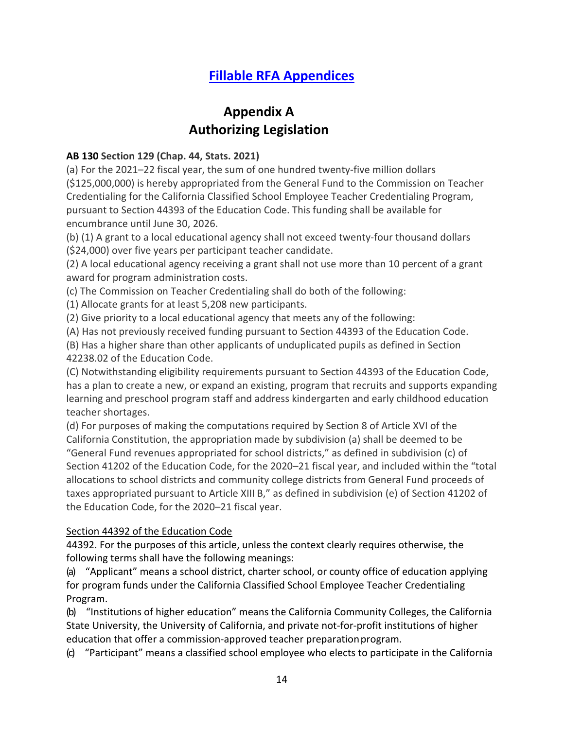# **[Fillable RFA Appendices](https://public.ctc.ca.gov/Grants/ClassifiedSchoolEmployee)**

## **Appendix A Authorizing Legislation**

#### <span id="page-13-0"></span>**AB 130 Section 129 (Chap. 44, Stats. 2021)**

(a) For the 2021–22 fiscal year, the sum of one hundred twenty-five million dollars (\$125,000,000) is hereby appropriated from the General Fund to the Commission on Teacher Credentialing for the California Classified School Employee Teacher Credentialing Program, pursuant to Section 44393 of the Education Code. This funding shall be available for encumbrance until June 30, 2026.

(b) (1) A grant to a local educational agency shall not exceed twenty-four thousand dollars (\$24,000) over five years per participant teacher candidate.

(2) A local educational agency receiving a grant shall not use more than 10 percent of a grant award for program administration costs.

(c) The Commission on Teacher Credentialing shall do both of the following:

(1) Allocate grants for at least 5,208 new participants.

(2) Give priority to a local educational agency that meets any of the following:

(A) Has not previously received funding pursuant to Section 44393 of the Education Code.

(B) Has a higher share than other applicants of unduplicated pupils as defined in Section 42238.02 of the Education Code.

(C) Notwithstanding eligibility requirements pursuant to Section 44393 of the Education Code, has a plan to create a new, or expand an existing, program that recruits and supports expanding learning and preschool program staff and address kindergarten and early childhood education teacher shortages.

(d) For purposes of making the computations required by Section 8 of Article XVI of the California Constitution, the appropriation made by subdivision (a) shall be deemed to be "General Fund revenues appropriated for school districts," as defined in subdivision (c) of Section 41202 of the Education Code, for the 2020–21 fiscal year, and included within the "total allocations to school districts and community college districts from General Fund proceeds of taxes appropriated pursuant to Article XIII B," as defined in subdivision (e) of Section 41202 of the Education Code, for the 2020–21 fiscal year.

#### Section 44392 of the Education Code

44392. For the purposes of this article, unless the context clearly requires otherwise, the following terms shall have the following meanings:

(a) "Applicant" means a school district, charter school, or county office of education applying for program funds under the California Classified School Employee Teacher Credentialing Program.

(b) "Institutions of higher education" means the California Community Colleges, the California State University, the University of California, and private not-for-profit institutions of higher education that offer a commission-approved teacher preparation program.

(c) "Participant" means a classified school employee who elects to participate in the California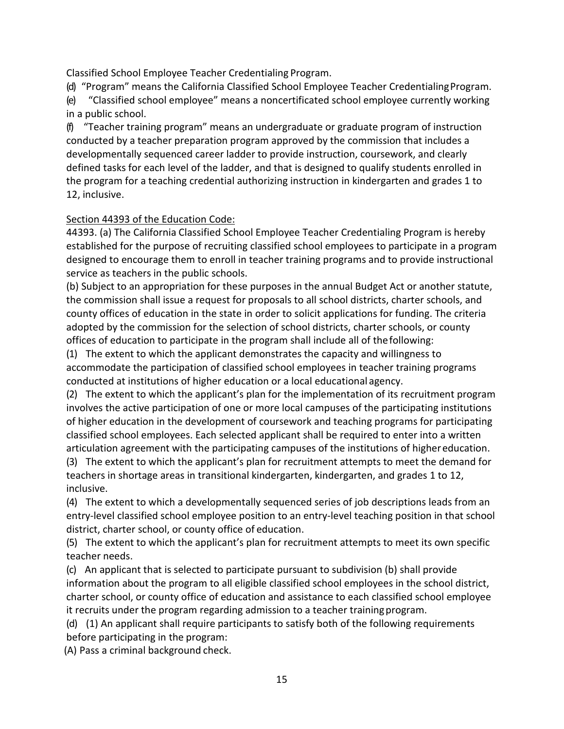Classified School Employee Teacher Credentialing Program.

(d) "Program" means the California Classified School Employee Teacher CredentialingProgram.

(e) "Classified school employee" means a noncertificated school employee currently working in a public school.

(f) "Teacher training program" means an undergraduate or graduate program of instruction conducted by a teacher preparation program approved by the commission that includes a developmentally sequenced career ladder to provide instruction, coursework, and clearly defined tasks for each level of the ladder, and that is designed to qualify students enrolled in the program for a teaching credential authorizing instruction in kindergarten and grades 1 to 12, inclusive.

#### Section 44393 of the Education Code:

44393. (a) The California Classified School Employee Teacher Credentialing Program is hereby established for the purpose of recruiting classified school employees to participate in a program designed to encourage them to enroll in teacher training programs and to provide instructional service as teachers in the public schools.

(b) Subject to an appropriation for these purposes in the annual Budget Act or another statute, the commission shall issue a request for proposals to all school districts, charter schools, and county offices of education in the state in order to solicit applications for funding. The criteria adopted by the commission for the selection of school districts, charter schools, or county offices of education to participate in the program shall include all of thefollowing:

(1) The extent to which the applicant demonstrates the capacity and willingness to accommodate the participation of classified school employees in teacher training programs conducted at institutions of higher education or a local educational agency.

(2) The extent to which the applicant's plan for the implementation of its recruitment program involves the active participation of one or more local campuses of the participating institutions of higher education in the development of coursework and teaching programs for participating classified school employees. Each selected applicant shall be required to enter into a written articulation agreement with the participating campuses of the institutions of highereducation.

(3) The extent to which the applicant's plan for recruitment attempts to meet the demand for teachers in shortage areas in transitional kindergarten, kindergarten, and grades 1 to 12, inclusive.

(4) The extent to which a developmentally sequenced series of job descriptions leads from an entry-level classified school employee position to an entry-level teaching position in that school district, charter school, or county office of education.

(5) The extent to which the applicant's plan for recruitment attempts to meet its own specific teacher needs.

(c) An applicant that is selected to participate pursuant to subdivision (b) shall provide information about the program to all eligible classified school employees in the school district, charter school, or county office of education and assistance to each classified school employee it recruits under the program regarding admission to a teacher trainingprogram.

(d) (1) An applicant shall require participants to satisfy both of the following requirements before participating in the program:

(A) Pass a criminal background check.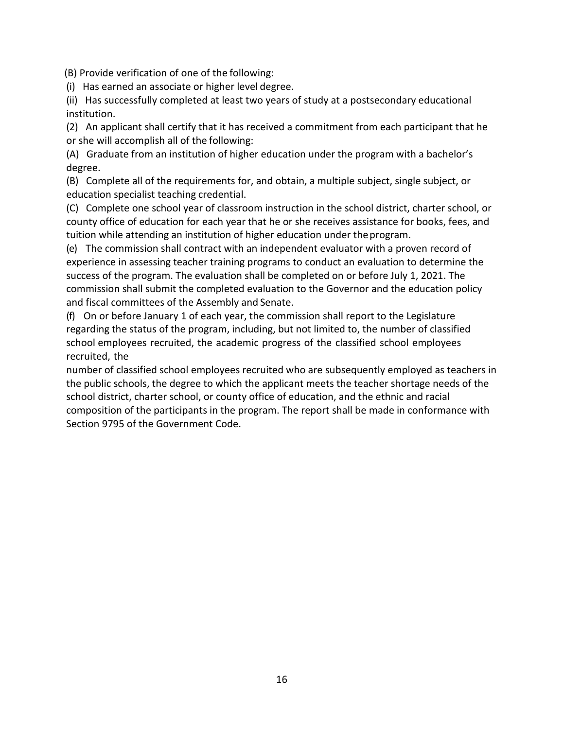(B) Provide verification of one of the following:

(i) Has earned an associate or higher level degree.

(ii) Has successfully completed at least two years of study at a postsecondary educational institution.

(2) An applicant shall certify that it has received a commitment from each participant that he or she will accomplish all of the following:

(A) Graduate from an institution of higher education under the program with a bachelor's degree.

(B) Complete all of the requirements for, and obtain, a multiple subject, single subject, or education specialist teaching credential.

(C) Complete one school year of classroom instruction in the school district, charter school, or county office of education for each year that he or she receives assistance for books, fees, and tuition while attending an institution of higher education under theprogram.

(e) The commission shall contract with an independent evaluator with a proven record of experience in assessing teacher training programs to conduct an evaluation to determine the success of the program. The evaluation shall be completed on or before July 1, 2021. The commission shall submit the completed evaluation to the Governor and the education policy and fiscal committees of the Assembly and Senate.

(f) On or before January 1 of each year, the commission shall report to the Legislature regarding the status of the program, including, but not limited to, the number of classified school employees recruited, the academic progress of the classified school employees recruited, the

number of classified school employees recruited who are subsequently employed as teachers in the public schools, the degree to which the applicant meets the teacher shortage needs of the school district, charter school, or county office of education, and the ethnic and racial composition of the participants in the program. The report shall be made in conformance with Section 9795 of the Government Code.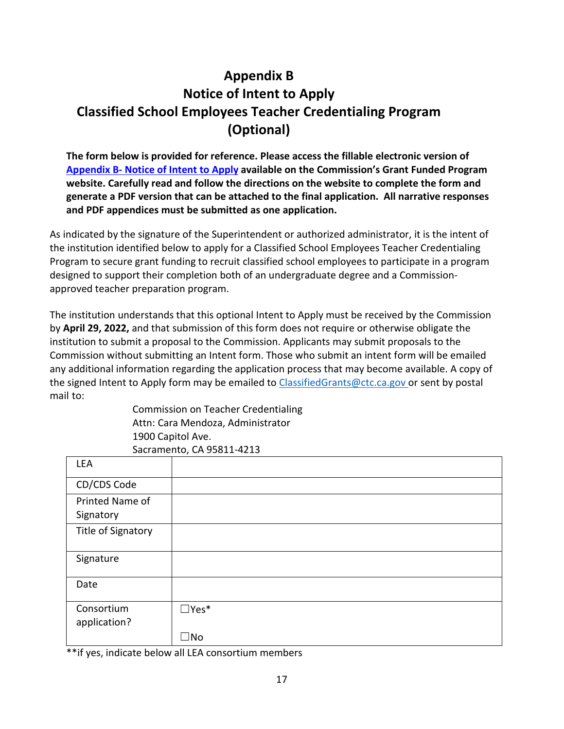# <span id="page-16-0"></span>**Appendix B Notice of Intent to Apply Classified School Employees Teacher Credentialing Program (Optional)**

**The form below is provided for reference. Please access the fillable electronic version of [Appendix B- Notice of Intent to Apply](https://public.ctc.ca.gov/Grants/ClassifiedSchoolEmployee/Intent) available on the Commission's Grant Funded Program website. Carefully read and follow the directions on the website to complete the form and generate a PDF version that can be attached to the final application. All narrative responses and PDF appendices must be submitted as one application.**

As indicated by the signature of the Superintendent or authorized administrator, it is the intent of the institution identified below to apply for a Classified School Employees Teacher Credentialing Program to secure grant funding to recruit classified school employees to participate in a program designed to support their completion both of an undergraduate degree and a Commissionapproved teacher preparation program.

The institution understands that this optional Intent to Apply must be received by the Commission by **April 29, 2022,** and that submission of this form does not require or otherwise obligate the institution to submit a proposal to the Commission. Applicants may submit proposals to the Commission without submitting an Intent form. Those who submit an intent form will be emailed any additional information regarding the application process that may become available. A copy of the signed Intent to Apply form may be emailed to ClassifiedGrants@ctc.ca.gov or sent by postal mail to:

> Commission on Teacher Credentialing Attn: Cara Mendoza, Administrator 1900 Capitol Ave. Sacramento, CA 95811-4213

| LEA                        |                |
|----------------------------|----------------|
| CD/CDS Code                |                |
| Printed Name of            |                |
| Signatory                  |                |
| Title of Signatory         |                |
| Signature                  |                |
| Date                       |                |
| Consortium<br>application? | $\square$ Yes* |
|                            | $\Box$ No      |

\*\*if yes, indicate below all LEA consortium members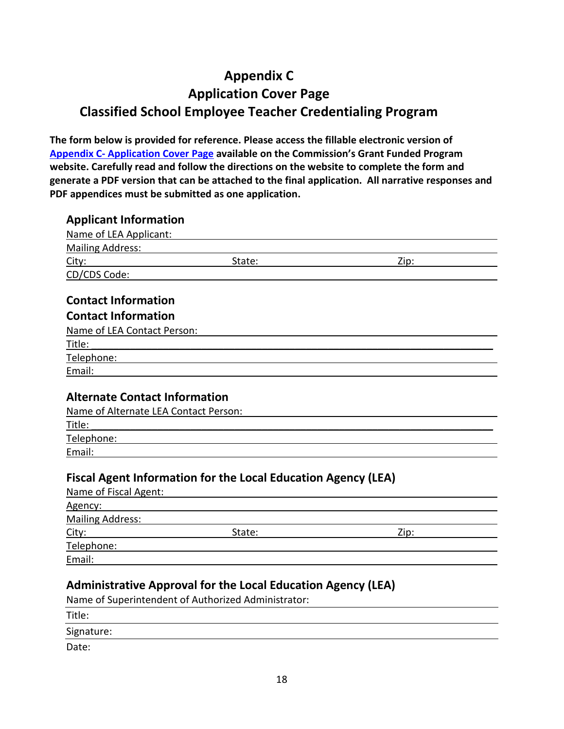# <span id="page-17-0"></span>**Appendix C Application Cover Page Classified School Employee Teacher Credentialing Program**

**The form below is provided for reference. Please access the fillable electronic version of [Appendix C- Application Cover Page](https://public.ctc.ca.gov/Grants/ClassifiedSchoolEmployee/CoverPage) available on the Commission's Grant Funded Program website. Carefully read and follow the directions on the website to complete the form and generate a PDF version that can be attached to the final application. All narrative responses and PDF appendices must be submitted as one application.**

#### **Applicant Information**

| Name of LEA Applicant:                                                        |                                                                                                                       |      |
|-------------------------------------------------------------------------------|-----------------------------------------------------------------------------------------------------------------------|------|
| <b>Mailing Address:</b>                                                       |                                                                                                                       |      |
| City:                                                                         | State:                                                                                                                | Zip: |
| CD/CDS Code:                                                                  |                                                                                                                       |      |
|                                                                               |                                                                                                                       |      |
| <b>Contact Information</b>                                                    |                                                                                                                       |      |
| <b>Contact Information</b>                                                    |                                                                                                                       |      |
| Name of LEA Contact Person:                                                   |                                                                                                                       |      |
| Title:                                                                        |                                                                                                                       |      |
| Telephone:                                                                    |                                                                                                                       |      |
| Email:                                                                        |                                                                                                                       |      |
| <b>Alternate Contact Information</b><br>Name of Alternate LEA Contact Person: |                                                                                                                       |      |
| Title:                                                                        |                                                                                                                       |      |
| Telephone:<br>Email:                                                          |                                                                                                                       |      |
| Name of Fiscal Agent:                                                         | <b>Fiscal Agent Information for the Local Education Agency (LEA)</b>                                                  |      |
| Agency:                                                                       |                                                                                                                       |      |
| <b>Mailing Address:</b>                                                       |                                                                                                                       |      |
| City:                                                                         | State:                                                                                                                | Zip: |
|                                                                               | <u>Telephone: with a state of the state of the state of the state of the state of the state of the state of the s</u> |      |
| Email:                                                                        |                                                                                                                       |      |
|                                                                               |                                                                                                                       |      |

#### **Administrative Approval for the Local Education Agency (LEA)**

Name of Superintendent of Authorized Administrator:

Title:

Signature:

Date: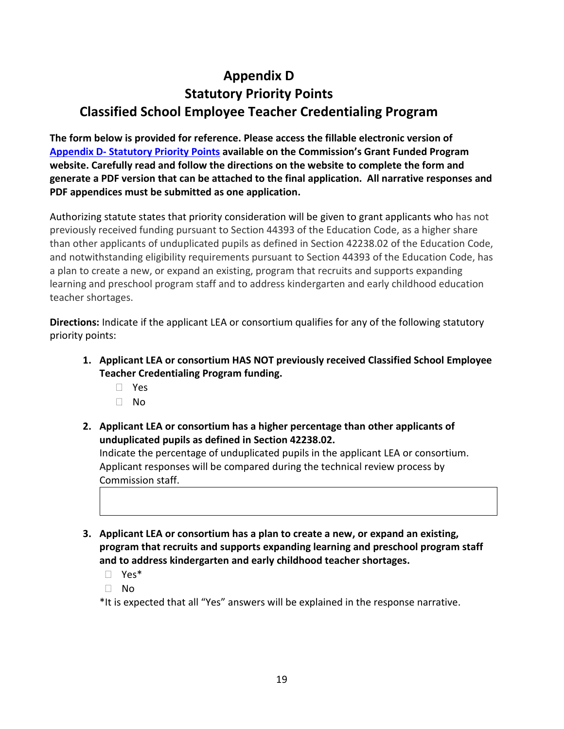# <span id="page-18-0"></span>**Appendix D Statutory Priority Points Classified School Employee Teacher Credentialing Program**

**The form below is provided for reference. Please access the fillable electronic version of [Appendix D- Statutory Priority Points](https://public.ctc.ca.gov/Grants/ClassifiedSchoolEmployee/PriorityPoints) available on the Commission's Grant Funded Program website. Carefully read and follow the directions on the website to complete the form and generate a PDF version that can be attached to the final application. All narrative responses and PDF appendices must be submitted as one application.**

Authorizing statute states that priority consideration will be given to grant applicants who has not previously received funding pursuant to Section 44393 of the Education Code, as a higher share than other applicants of unduplicated pupils as defined in Section 42238.02 of the Education Code, and notwithstanding eligibility requirements pursuant to Section 44393 of the Education Code, has a plan to create a new, or expand an existing, program that recruits and supports expanding learning and preschool program staff and to address kindergarten and early childhood education teacher shortages.

**Directions:** Indicate if the applicant LEA or consortium qualifies for any of the following statutory priority points:

- **1. Applicant LEA or consortium HAS NOT previously received Classified School Employee Teacher Credentialing Program funding.** 
	- Yes
	- $\neg$  No
- **2. Applicant LEA or consortium has a higher percentage than other applicants of unduplicated pupils as defined in Section 42238.02.**

Indicate the percentage of unduplicated pupils in the applicant LEA or consortium. Applicant responses will be compared during the technical review process by Commission staff.

- **3. Applicant LEA or consortium has a plan to create a new, or expand an existing, program that recruits and supports expanding learning and preschool program staff and to address kindergarten and early childhood teacher shortages.**
	- Yes\*
	- No

\*It is expected that all "Yes" answers will be explained in the response narrative.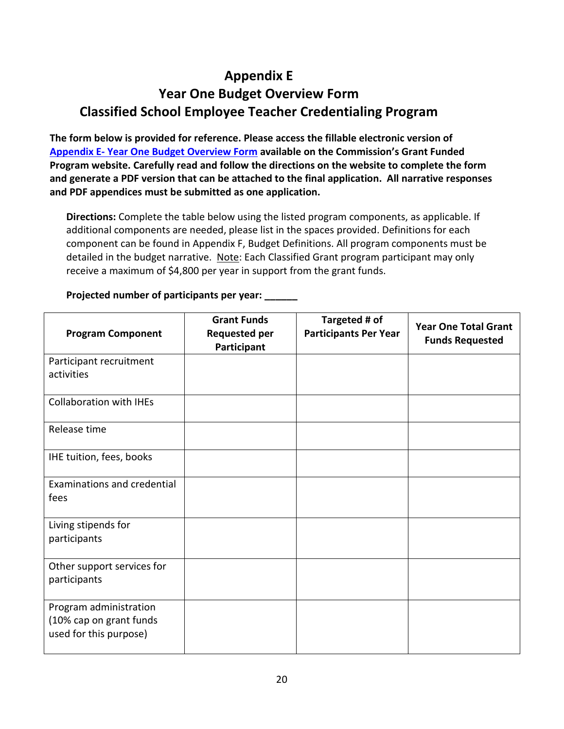# <span id="page-19-0"></span>**Appendix E Year One Budget Overview Form Classified School Employee Teacher Credentialing Program**

**The form below is provided for reference. Please access the fillable electronic version of [Appendix E- Year One Budget Overview Form](https://public.ctc.ca.gov/Grants/ClassifiedSchoolEmployee/BudgetOverview) available on the Commission's Grant Funded Program website. Carefully read and follow the directions on the website to complete the form and generate a PDF version that can be attached to the final application. All narrative responses and PDF appendices must be submitted as one application.**

**Directions:** Complete the table below using the listed program components, as applicable. If additional components are needed, please list in the spaces provided. Definitions for each component can be found in Appendix F, Budget Definitions. All program components must be detailed in the budget narrative. Note: Each Classified Grant program participant may only receive a maximum of \$4,800 per year in support from the grant funds.

| <b>Program Component</b>                                                    | <b>Grant Funds</b><br><b>Requested per</b><br>Participant | Targeted # of<br><b>Participants Per Year</b> | <b>Year One Total Grant</b><br><b>Funds Requested</b> |
|-----------------------------------------------------------------------------|-----------------------------------------------------------|-----------------------------------------------|-------------------------------------------------------|
| Participant recruitment<br>activities                                       |                                                           |                                               |                                                       |
| <b>Collaboration with IHEs</b>                                              |                                                           |                                               |                                                       |
| Release time                                                                |                                                           |                                               |                                                       |
| IHE tuition, fees, books                                                    |                                                           |                                               |                                                       |
| Examinations and credential<br>fees                                         |                                                           |                                               |                                                       |
| Living stipends for<br>participants                                         |                                                           |                                               |                                                       |
| Other support services for<br>participants                                  |                                                           |                                               |                                                       |
| Program administration<br>(10% cap on grant funds<br>used for this purpose) |                                                           |                                               |                                                       |

**Projected number of participants per year: \_\_\_\_\_\_**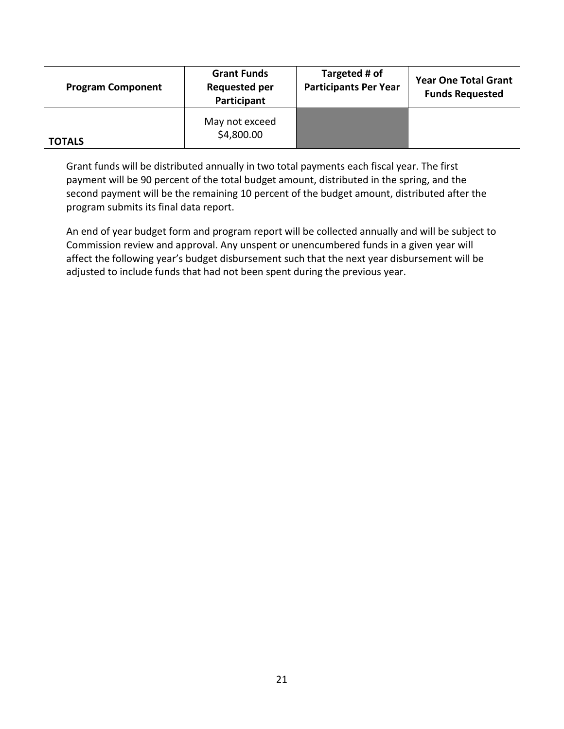| <b>Program Component</b> | <b>Grant Funds</b><br><b>Requested per</b><br>Participant | Targeted # of<br><b>Participants Per Year</b> | <b>Year One Total Grant</b><br><b>Funds Requested</b> |
|--------------------------|-----------------------------------------------------------|-----------------------------------------------|-------------------------------------------------------|
| <b>TOTALS</b>            | May not exceed<br>\$4,800.00                              |                                               |                                                       |

Grant funds will be distributed annually in two total payments each fiscal year. The first payment will be 90 percent of the total budget amount, distributed in the spring, and the second payment will be the remaining 10 percent of the budget amount, distributed after the program submits its final data report.

An end of year budget form and program report will be collected annually and will be subject to Commission review and approval. Any unspent or unencumbered funds in a given year will affect the following year's budget disbursement such that the next year disbursement will be adjusted to include funds that had not been spent during the previous year.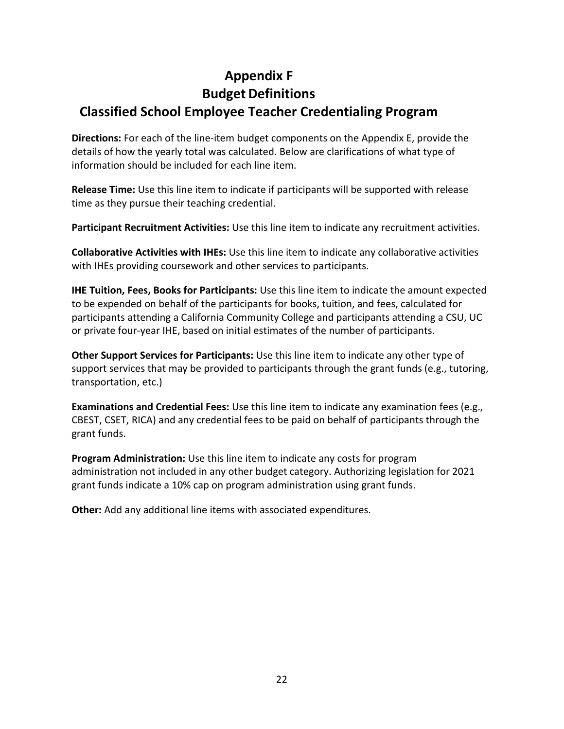# <span id="page-21-0"></span>**Appendix F Budget Definitions Classified School Employee Teacher Credentialing Program**

**Directions:** For each of the line-item budget components on the Appendix E, provide the details of how the yearly total was calculated. Below are clarifications of what type of information should be included for each line item.

**Release Time:** Use this line item to indicate if participants will be supported with release time as they pursue their teaching credential.

**Participant Recruitment Activities:** Use this line item to indicate any recruitment activities.

**Collaborative Activities with IHEs:** Use this line item to indicate any collaborative activities with IHEs providing coursework and other services to participants.

**IHE Tuition, Fees, Books for Participants:** Use this line item to indicate the amount expected to be expended on behalf of the participants for books, tuition, and fees, calculated for participants attending a California Community College and participants attending a CSU, UC or private four-year IHE, based on initial estimates of the number of participants.

**Other Support Services for Participants:** Use this line item to indicate any other type of support services that may be provided to participants through the grant funds (e.g., tutoring, transportation, etc.)

**Examinations and Credential Fees:** Use this line item to indicate any examination fees (e.g., CBEST, CSET, RICA) and any credential fees to be paid on behalf of participants through the grant funds.

**Program Administration:** Use this line item to indicate any costs for program administration not included in any other budget category. Authorizing legislation for 2021 grant funds indicate a 10% cap on program administration using grant funds.

**Other:** Add any additional line items with associated expenditures.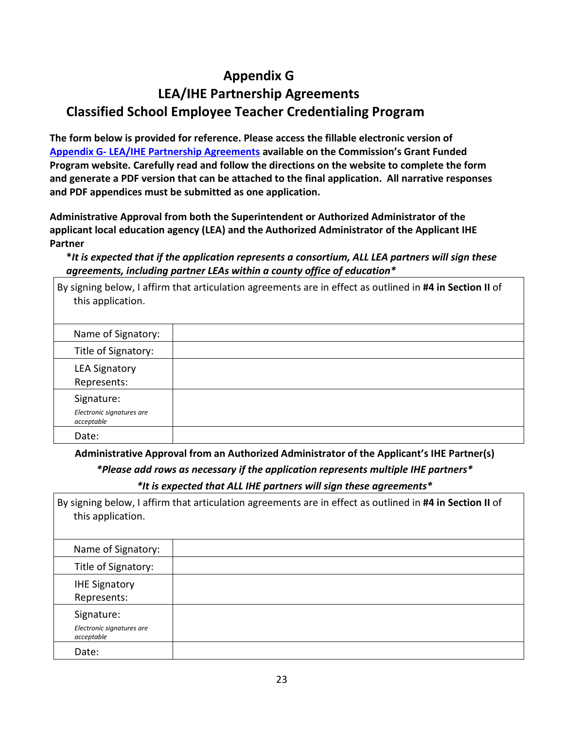## **Appendix G**

# <span id="page-22-0"></span>**LEA/IHE Partnership Agreements Classified School Employee Teacher Credentialing Program**

**The form below is provided for reference. Please access the fillable electronic version of [Appendix G- LEA/IHE Partnership Agreements](https://public.ctc.ca.gov/Grants/ClassifiedSchoolEmployee/PartnershipAgreements) available on the Commission's Grant Funded Program website. Carefully read and follow the directions on the website to complete the form and generate a PDF version that can be attached to the final application. All narrative responses and PDF appendices must be submitted as one application.**

**Administrative Approval from both the Superintendent or Authorized Administrator of the applicant local education agency (LEA) and the Authorized Administrator of the Applicant IHE Partner**

**\****It is expected that if the application represents a consortium, ALL LEA partners will sign these agreements, including partner LEAs within a county office of education\**

| this application.                                     | By signing below, I affirm that articulation agreements are in effect as outlined in #4 in Section II of |
|-------------------------------------------------------|----------------------------------------------------------------------------------------------------------|
| Name of Signatory:                                    |                                                                                                          |
| Title of Signatory:                                   |                                                                                                          |
| <b>LEA Signatory</b><br>Represents:                   |                                                                                                          |
| Signature:<br>Electronic signatures are<br>acceptable |                                                                                                          |
| Date:                                                 |                                                                                                          |

**Administrative Approval from an Authorized Administrator of the Applicant's IHE Partner(s)**

*\*Please add rows as necessary if the application represents multiple IHE partners\* \*It is expected that ALL IHE partners will sign these agreements\**

| this application.                                     | By signing below, I affirm that articulation agreements are in effect as outlined in #4 in Section II of |
|-------------------------------------------------------|----------------------------------------------------------------------------------------------------------|
| Name of Signatory:                                    |                                                                                                          |
| Title of Signatory:                                   |                                                                                                          |
| <b>IHE Signatory</b><br>Represents:                   |                                                                                                          |
| Signature:<br>Electronic signatures are<br>acceptable |                                                                                                          |
| Date:                                                 |                                                                                                          |